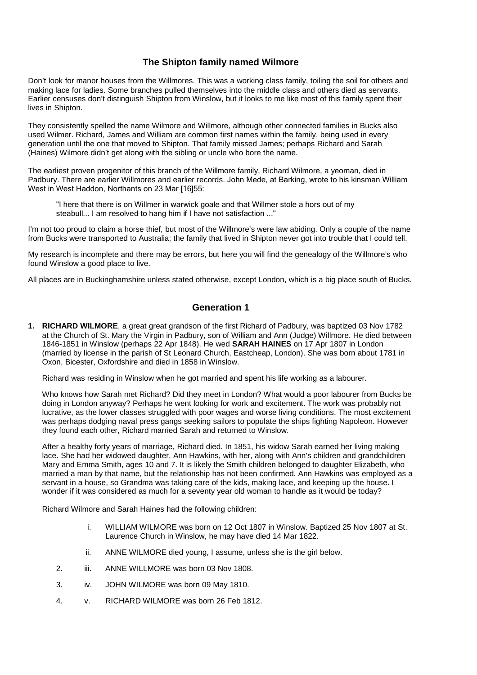## **The Shipton family named Wilmore**

Don't look for manor houses from the Willmores. This was a working class family, toiling the soil for others and making lace for ladies. Some branches pulled themselves into the middle class and others died as servants. Earlier censuses don't distinguish Shipton from Winslow, but it looks to me like most of this family spent their lives in Shipton.

They consistently spelled the name Wilmore and Willmore, although other connected families in Bucks also used Wilmer. Richard, James and William are common first names within the family, being used in every generation until the one that moved to Shipton. That family missed James; perhaps Richard and Sarah (Haines) Wilmore didn't get along with the sibling or uncle who bore the name.

The earliest proven progenitor of this branch of the Willmore family, Richard Wilmore, a yeoman, died in Padbury. There are earlier Willmores and earlier records. John Mede, at Barking, wrote to his kinsman William West in West Haddon, Northants on 23 Mar [16]55:

"I here that there is on Willmer in warwick goale and that Willmer stole a hors out of my steabull... I am resolved to hang him if I have not satisfaction ..."

I'm not too proud to claim a horse thief, but most of the Willmore's were law abiding. Only a couple of the name from Bucks were transported to Australia; the family that lived in Shipton never got into trouble that I could tell.

My research is incomplete and there may be errors, but here you will find the genealogy of the Willmore's who found Winslow a good place to live.

All places are in Buckinghamshire unless stated otherwise, except London, which is a big place south of Bucks.

## **Generation 1**

**1. RICHARD WILMORE**, a great great grandson of the first Richard of Padbury, was baptized 03 Nov 1782 at the Church of St. Mary the Virgin in Padbury, son of William and Ann (Judge) Willmore. He died between 1846-1851 in Winslow (perhaps 22 Apr 1848). He wed **SARAH HAINES** on 17 Apr 1807 in London (married by license in the parish of St Leonard Church, Eastcheap, London). She was born about 1781 in Oxon, Bicester, Oxfordshire and died in 1858 in Winslow.

Richard was residing in Winslow when he got married and spent his life working as a labourer.

Who knows how Sarah met Richard? Did they meet in London? What would a poor labourer from Bucks be doing in London anyway? Perhaps he went looking for work and excitement. The work was probably not lucrative, as the lower classes struggled with poor wages and worse living conditions. The most excitement was perhaps dodging naval press gangs seeking sailors to populate the ships fighting Napoleon. However they found each other, Richard married Sarah and returned to Winslow.

After a healthy forty years of marriage, Richard died. In 1851, his widow Sarah earned her living making lace. She had her widowed daughter, Ann Hawkins, with her, along with Ann's children and grandchildren Mary and Emma Smith, ages 10 and 7. It is likely the Smith children belonged to daughter Elizabeth, who married a man by that name, but the relationship has not been confirmed. Ann Hawkins was employed as a servant in a house, so Grandma was taking care of the kids, making lace, and keeping up the house. I wonder if it was considered as much for a seventy year old woman to handle as it would be today?

Richard Wilmore and Sarah Haines had the following children:

- i. WILLIAM WILMORE was born on 12 Oct 1807 in Winslow. Baptized 25 Nov 1807 at St. Laurence Church in Winslow, he may have died 14 Mar 1822.
- ii. ANNE WILMORE died young, I assume, unless she is the girl below.
- 2. iii. ANNE WILLMORE was born 03 Nov 1808.
- 3. iv. JOHN WILMORE was born 09 May 1810.
- 4. v. RICHARD WILMORE was born 26 Feb 1812.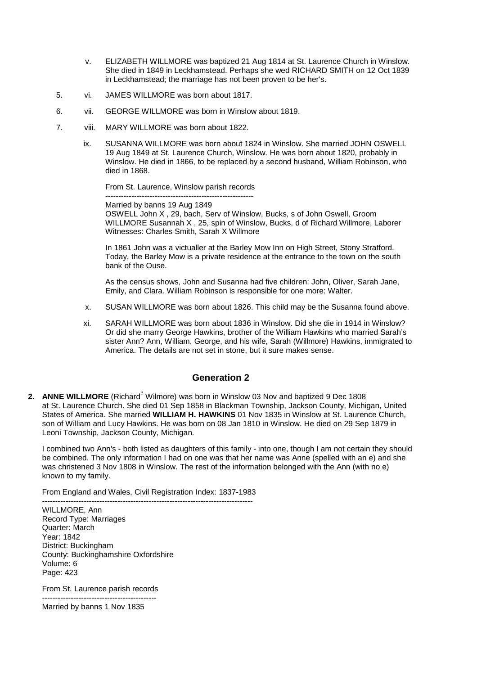- v. ELIZABETH WILLMORE was baptized 21 Aug 1814 at St. Laurence Church in Winslow. She died in 1849 in Leckhamstead. Perhaps she wed RICHARD SMITH on 12 Oct 1839 in Leckhamstead; the marriage has not been proven to be her's.
- 5. vi. JAMES WILLMORE was born about 1817.
- 6. vii. GEORGE WILLMORE was born in Winslow about 1819.
- 7. viii. MARY WILLMORE was born about 1822.
	- ix. SUSANNA WILLMORE was born about 1824 in Winslow. She married JOHN OSWELL 19 Aug 1849 at St. Laurence Church, Winslow. He was born about 1820, probably in Winslow. He died in 1866, to be replaced by a second husband, William Robinson, who died in 1868.

From St. Laurence, Winslow parish records ---------------------------------------------------------

Married by banns 19 Aug 1849 OSWELL John X , 29, bach, Serv of Winslow, Bucks, s of John Oswell, Groom WILLMORE Susannah X , 25, spin of Winslow, Bucks, d of Richard Willmore, Laborer Witnesses: Charles Smith, Sarah X Willmore

In 1861 John was a victualler at the Barley Mow Inn on High Street, Stony Stratford. Today, the Barley Mow is a private residence at the entrance to the town on the south bank of the Ouse.

As the census shows, John and Susanna had five children: John, Oliver, Sarah Jane, Emily, and Clara. William Robinson is responsible for one more: Walter.

- x. SUSAN WILLMORE was born about 1826. This child may be the Susanna found above.
- xi. SARAH WILLMORE was born about 1836 in Winslow. Did she die in 1914 in Winslow? Or did she marry George Hawkins, brother of the William Hawkins who married Sarah's sister Ann? Ann, William, George, and his wife, Sarah (Willmore) Hawkins, immigrated to America. The details are not set in stone, but it sure makes sense.

## **Generation 2**

**2. ANNE WILLMORE** (Richard<sup>1</sup> Wilmore) was born in Winslow 03 Nov and baptized 9 Dec 1808 at St. Laurence Church. She died 01 Sep 1858 in Blackman Township, Jackson County, Michigan, United States of America. She married **WILLIAM H. HAWKINS** 01 Nov 1835 in Winslow at St. Laurence Church, son of William and Lucy Hawkins. He was born on 08 Jan 1810 in Winslow. He died on 29 Sep 1879 in Leoni Township, Jackson County, Michigan.

I combined two Ann's - both listed as daughters of this family - into one, though I am not certain they should be combined. The only information I had on one was that her name was Anne (spelled with an e) and she was christened 3 Nov 1808 in Winslow. The rest of the information belonged with the Ann (with no e) known to my family.

From England and Wales, Civil Registration Index: 1837-1983

--------------------------------------------------------------------------------- WILLMORE, Ann Record Type: Marriages Quarter: March Year: 1842 District: Buckingham County: Buckinghamshire Oxfordshire Volume: 6 Page: 423

From St. Laurence parish records

-------------------------------------------- Married by banns 1 Nov 1835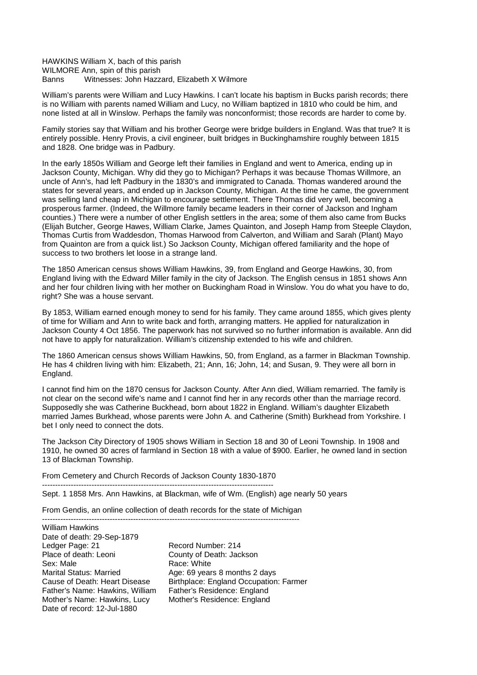HAWKINS William X, bach of this parish WILMORE Ann, spin of this parish Banns Witnesses: John Hazzard, Elizabeth X Wilmore

William's parents were William and Lucy Hawkins. I can't locate his baptism in Bucks parish records; there is no William with parents named William and Lucy, no William baptized in 1810 who could be him, and none listed at all in Winslow. Perhaps the family was nonconformist; those records are harder to come by.

Family stories say that William and his brother George were bridge builders in England. Was that true? It is entirely possible. Henry Provis, a civil engineer, built bridges in Buckinghamshire roughly between 1815 and 1828. One bridge was in Padbury.

In the early 1850s William and George left their families in England and went to America, ending up in Jackson County, Michigan. Why did they go to Michigan? Perhaps it was because Thomas Willmore, an uncle of Ann's, had left Padbury in the 1830's and immigrated to Canada. Thomas wandered around the states for several years, and ended up in Jackson County, Michigan. At the time he came, the government was selling land cheap in Michigan to encourage settlement. There Thomas did very well, becoming a prosperous farmer. (Indeed, the Willmore family became leaders in their corner of Jackson and Ingham counties.) There were a number of other English settlers in the area; some of them also came from Bucks (Elijah Butcher, George Hawes, William Clarke, James Quainton, and Joseph Hamp from Steeple Claydon, Thomas Curtis from Waddesdon, Thomas Harwood from Calverton, and William and Sarah (Plant) Mayo from Quainton are from a quick list.) So Jackson County, Michigan offered familiarity and the hope of success to two brothers let loose in a strange land.

The 1850 American census shows William Hawkins, 39, from England and George Hawkins, 30, from England living with the Edward Miller family in the city of Jackson. The English census in 1851 shows Ann and her four children living with her mother on Buckingham Road in Winslow. You do what you have to do, right? She was a house servant.

By 1853, William earned enough money to send for his family. They came around 1855, which gives plenty of time for William and Ann to write back and forth, arranging matters. He applied for naturalization in Jackson County 4 Oct 1856. The paperwork has not survived so no further information is available. Ann did not have to apply for naturalization. William's citizenship extended to his wife and children.

The 1860 American census shows William Hawkins, 50, from England, as a farmer in Blackman Township. He has 4 children living with him: Elizabeth, 21; Ann, 16; John, 14; and Susan, 9. They were all born in England.

I cannot find him on the 1870 census for Jackson County. After Ann died, William remarried. The family is not clear on the second wife's name and I cannot find her in any records other than the marriage record. Supposedly she was Catherine Buckhead, born about 1822 in England. William's daughter Elizabeth married James Burkhead, whose parents were John A. and Catherine (Smith) Burkhead from Yorkshire. I bet I only need to connect the dots.

The Jackson City Directory of 1905 shows William in Section 18 and 30 of Leoni Township. In 1908 and 1910, he owned 30 acres of farmland in Section 18 with a value of \$900. Earlier, he owned land in section 13 of Blackman Township.

From Cemetery and Church Records of Jackson County 1830-1870

-----------------------------------------------------------------------------------------

Sept. 1 1858 Mrs. Ann Hawkins, at Blackman, wife of Wm. (English) age nearly 50 years

From Gendis, an online collection of death records for the state of Michigan ---------------------------------------------------------------------------------------------------

William Hawkins Date of death: 29-Sep-1879 Ledger Page: 21 **Record Number: 214**<br>Place of death: Leoni **Record County of Death: Jac** Sex: Male Race: White Marital Status: Married Age: 69 years 8 months 2 days Father's Name: Hawkins, William Mother's Name: Hawkins, Lucy Mother's Residence: England Date of record: 12-Jul-1880

County of Death: Jackson Cause of Death: Heart Disease Birthplace: England Occupation: Farmer<br>Father's Name: Hawkins, William Father's Residence: England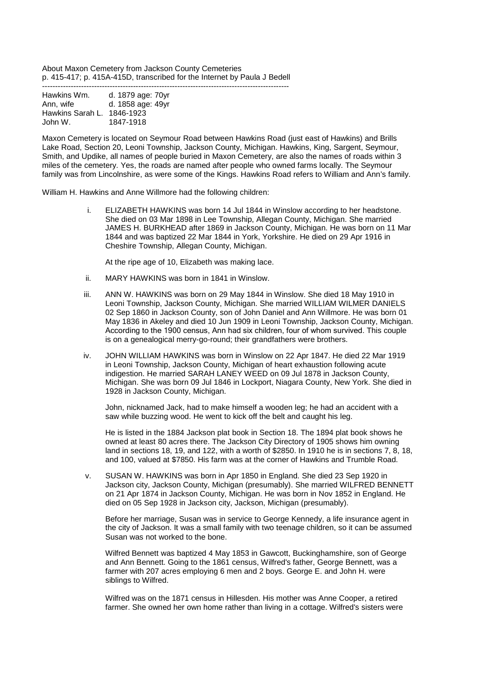About Maxon Cemetery from Jackson County Cemeteries p. 415-417; p. 415A-415D, transcribed for the Internet by Paula J Bedell -----------------------------------------------------------------------------------------------

| Hawkins Wm.      | d. 1879 age: 70yr |
|------------------|-------------------|
| Ann, wife        | d. 1858 age: 49yr |
| Hawkins Sarah L. | 1846-1923         |
| John W.          | 1847-1918         |

Maxon Cemetery is located on Seymour Road between Hawkins Road (just east of Hawkins) and Brills Lake Road, Section 20, Leoni Township, Jackson County, Michigan. Hawkins, King, Sargent, Seymour, Smith, and Updike, all names of people buried in Maxon Cemetery, are also the names of roads within 3 miles of the cemetery. Yes, the roads are named after people who owned farms locally. The Seymour family was from Lincolnshire, as were some of the Kings. Hawkins Road refers to William and Ann's family.

William H. Hawkins and Anne Willmore had the following children:

i. ELIZABETH HAWKINS was born 14 Jul 1844 in Winslow according to her headstone. She died on 03 Mar 1898 in Lee Township, Allegan County, Michigan. She married JAMES H. BURKHEAD after 1869 in Jackson County, Michigan. He was born on 11 Mar 1844 and was baptized 22 Mar 1844 in York, Yorkshire. He died on 29 Apr 1916 in Cheshire Township, Allegan County, Michigan.

At the ripe age of 10, Elizabeth was making lace.

- ii. MARY HAWKINS was born in 1841 in Winslow.
- iii. ANN W. HAWKINS was born on 29 May 1844 in Winslow. She died 18 May 1910 in Leoni Township, Jackson County, Michigan. She married WILLIAM WILMER DANIELS 02 Sep 1860 in Jackson County, son of John Daniel and Ann Willmore. He was born 01 May 1836 in Akeley and died 10 Jun 1909 in Leoni Township, Jackson County, Michigan. According to the 1900 census, Ann had six children, four of whom survived. This couple is on a genealogical merry-go-round; their grandfathers were brothers.
- iv. JOHN WILLIAM HAWKINS was born in Winslow on 22 Apr 1847. He died 22 Mar 1919 in Leoni Township, Jackson County, Michigan of heart exhaustion following acute indigestion. He married SARAH LANEY WEED on 09 Jul 1878 in Jackson County, Michigan. She was born 09 Jul 1846 in Lockport, Niagara County, New York. She died in 1928 in Jackson County, Michigan.

John, nicknamed Jack, had to make himself a wooden leg; he had an accident with a saw while buzzing wood. He went to kick off the belt and caught his leg.

He is listed in the 1884 Jackson plat book in Section 18. The 1894 plat book shows he owned at least 80 acres there. The Jackson City Directory of 1905 shows him owning land in sections 18, 19, and 122, with a worth of \$2850. In 1910 he is in sections 7, 8, 18, and 100, valued at \$7850. His farm was at the corner of Hawkins and Trumble Road.

v. SUSAN W. HAWKINS was born in Apr 1850 in England. She died 23 Sep 1920 in Jackson city, Jackson County, Michigan (presumably). She married WILFRED BENNETT on 21 Apr 1874 in Jackson County, Michigan. He was born in Nov 1852 in England. He died on 05 Sep 1928 in Jackson city, Jackson, Michigan (presumably).

Before her marriage, Susan was in service to George Kennedy, a life insurance agent in the city of Jackson. It was a small family with two teenage children, so it can be assumed Susan was not worked to the bone.

Wilfred Bennett was baptized 4 May 1853 in Gawcott, Buckinghamshire, son of George and Ann Bennett. Going to the 1861 census, Wilfred's father, George Bennett, was a farmer with 207 acres employing 6 men and 2 boys. George E. and John H. were siblings to Wilfred.

Wilfred was on the 1871 census in Hillesden. His mother was Anne Cooper, a retired farmer. She owned her own home rather than living in a cottage. Wilfred's sisters were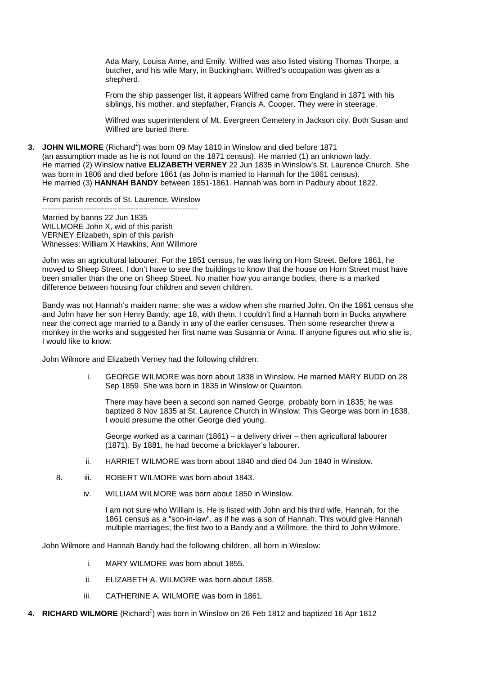Ada Mary, Louisa Anne, and Emily. Wilfred was also listed visiting Thomas Thorpe, a butcher, and his wife Mary, in Buckingham. Wilfred's occupation was given as a shepherd.

From the ship passenger list, it appears Wilfred came from England in 1871 with his siblings, his mother, and stepfather, Francis A. Cooper. They were in steerage.

Wilfred was superintendent of Mt. Evergreen Cemetery in Jackson city. Both Susan and Wilfred are buried there.

**3. JOHN WILMORE** (Richard<sup>1</sup>) was born 09 May 1810 in Winslow and died before 1871 (an assumption made as he is not found on the 1871 census). He married (1) an unknown lady. He married (2) Winslow native **ELIZABETH VERNEY** 22 Jun 1835 in Winslow's St. Laurence Church. She was born in 1806 and died before 1861 (as John is married to Hannah for the 1861 census). He married (3) **HANNAH BANDY** between 1851-1861. Hannah was born in Padbury about 1822.

From parish records of St. Laurence, Winslow

------------------------------------------------------------ Married by banns 22 Jun 1835 WILLMORE John X, wid of this parish VERNEY Elizabeth, spin of this parish Witnesses: William X Hawkins, Ann Willmore

John was an agricultural labourer. For the 1851 census, he was living on Horn Street. Before 1861, he moved to Sheep Street. I don't have to see the buildings to know that the house on Horn Street must have been smaller than the one on Sheep Street. No matter how you arrange bodies, there is a marked difference between housing four children and seven children.

Bandy was not Hannah's maiden name; she was a widow when she married John. On the 1861 census she and John have her son Henry Bandy, age 18, with them. I couldn't find a Hannah born in Bucks anywhere near the correct age married to a Bandy in any of the earlier censuses. Then some researcher threw a monkey in the works and suggested her first name was Susanna or Anna. If anyone figures out who she is, I would like to know.

John Wilmore and Elizabeth Verney had the following children:

i. GEORGE WILMORE was born about 1838 in Winslow. He married MARY BUDD on 28 Sep 1859. She was born in 1835 in Winslow or Quainton.

There may have been a second son named George, probably born in 1835; he was baptized 8 Nov 1835 at St. Laurence Church in Winslow. This George was born in 1838. I would presume the other George died young.

George worked as a carman (1861) – a delivery driver – then agricultural labourer (1871). By 1881, he had become a bricklayer's labourer.

- ii. HARRIET WILMORE was born about 1840 and died 04 Jun 1840 in Winslow.
- 8. iii. ROBERT WILMORE was born about 1843.
	- iv. WILLIAM WILMORE was born about 1850 in Winslow.

I am not sure who William is. He is listed with John and his third wife, Hannah, for the 1861 census as a "son-in-law", as if he was a son of Hannah. This would give Hannah multiple marriages; the first two to a Bandy and a Willmore, the third to John Wilmore.

John Wilmore and Hannah Bandy had the following children, all born in Winslow:

- i. MARY WILMORE was born about 1855.
- ii. ELIZABETH A. WILMORE was born about 1858.
- iii. CATHERINE A. WILMORE was born in 1861.
- 4. RICHARD WILMORE (Richard<sup>1</sup>) was born in Winslow on 26 Feb 1812 and baptized 16 Apr 1812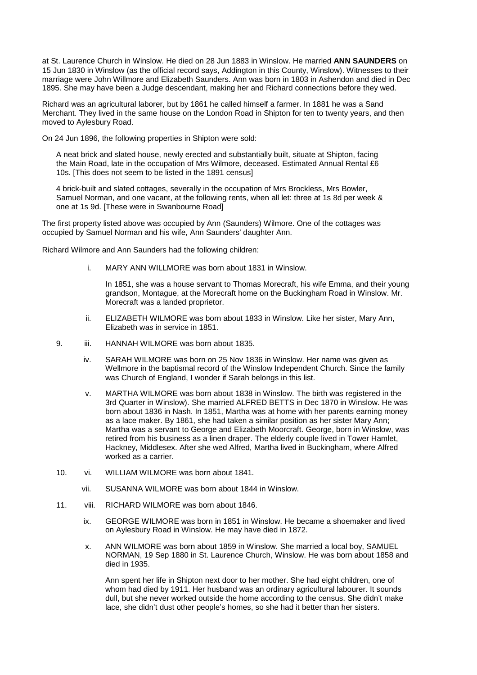at St. Laurence Church in Winslow. He died on 28 Jun 1883 in Winslow. He married **ANN SAUNDERS** on 15 Jun 1830 in Winslow (as the official record says, Addington in this County, Winslow). Witnesses to their marriage were John Willmore and Elizabeth Saunders. Ann was born in 1803 in Ashendon and died in Dec 1895. She may have been a Judge descendant, making her and Richard connections before they wed.

Richard was an agricultural laborer, but by 1861 he called himself a farmer. In 1881 he was a Sand Merchant. They lived in the same house on the London Road in Shipton for ten to twenty years, and then moved to Aylesbury Road.

On 24 Jun 1896, the following properties in Shipton were sold:

A neat brick and slated house, newly erected and substantially built, situate at Shipton, facing the Main Road, late in the occupation of Mrs Wilmore, deceased. Estimated Annual Rental £6 10s. [This does not seem to be listed in the 1891 census]

4 brick-built and slated cottages, severally in the occupation of Mrs Brockless, Mrs Bowler, Samuel Norman, and one vacant, at the following rents, when all let: three at 1s 8d per week & one at 1s 9d. [These were in Swanbourne Road]

The first property listed above was occupied by Ann (Saunders) Wilmore. One of the cottages was occupied by Samuel Norman and his wife, Ann Saunders' daughter Ann.

Richard Wilmore and Ann Saunders had the following children:

i. MARY ANN WILLMORE was born about 1831 in Winslow.

In 1851, she was a house servant to Thomas Morecraft, his wife Emma, and their young grandson, Montague, at the Morecraft home on the Buckingham Road in Winslow. Mr. Morecraft was a landed proprietor.

- ii. ELIZABETH WILMORE was born about 1833 in Winslow. Like her sister, Mary Ann, Elizabeth was in service in 1851.
- 9. iii. HANNAH WILMORE was born about 1835.
	- iv. SARAH WILMORE was born on 25 Nov 1836 in Winslow. Her name was given as Wellmore in the baptismal record of the Winslow Independent Church. Since the family was Church of England, I wonder if Sarah belongs in this list.
	- v. MARTHA WILMORE was born about 1838 in Winslow. The birth was registered in the 3rd Quarter in Winslow). She married ALFRED BETTS in Dec 1870 in Winslow. He was born about 1836 in Nash. In 1851, Martha was at home with her parents earning money as a lace maker. By 1861, she had taken a similar position as her sister Mary Ann; Martha was a servant to George and Elizabeth Moorcraft. George, born in Winslow, was retired from his business as a linen draper. The elderly couple lived in Tower Hamlet, Hackney, Middlesex. After she wed Alfred, Martha lived in Buckingham, where Alfred worked as a carrier.
- 10. vi. WILLIAM WILMORE was born about 1841.
	- vii. SUSANNA WILMORE was born about 1844 in Winslow.
- 11. viii. RICHARD WILMORE was born about 1846.
	- ix. GEORGE WILMORE was born in 1851 in Winslow. He became a shoemaker and lived on Aylesbury Road in Winslow. He may have died in 1872.
	- x. ANN WILMORE was born about 1859 in Winslow. She married a local boy, SAMUEL NORMAN, 19 Sep 1880 in St. Laurence Church, Winslow. He was born about 1858 and died in 1935.

Ann spent her life in Shipton next door to her mother. She had eight children, one of whom had died by 1911. Her husband was an ordinary agricultural labourer. It sounds dull, but she never worked outside the home according to the census. She didn't make lace, she didn't dust other people's homes, so she had it better than her sisters.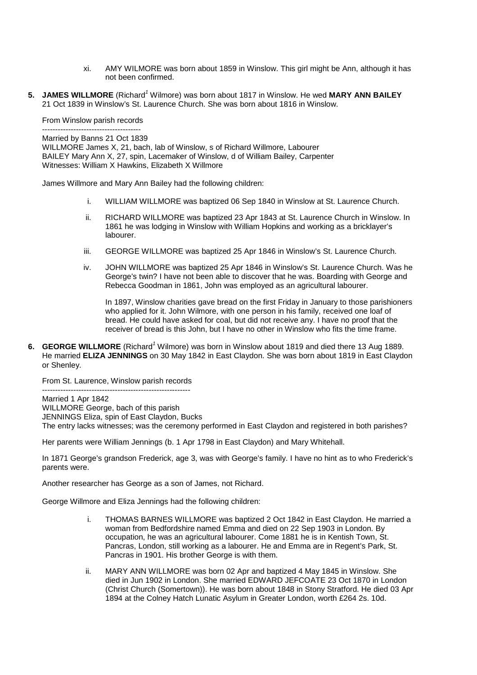- xi. AMY WILMORE was born about 1859 in Winslow. This girl might be Ann, although it has not been confirmed.
- **5. JAMES WILLMORE** (Richard<sup>1</sup> Wilmore) was born about 1817 in Winslow. He wed MARY ANN BAILEY 21 Oct 1839 in Winslow's St. Laurence Church. She was born about 1816 in Winslow.

From Winslow parish records

-------------------------------------- Married by Banns 21 Oct 1839 WILLMORE James X, 21, bach, lab of Winslow, s of Richard Willmore, Labourer BAILEY Mary Ann X, 27, spin, Lacemaker of Winslow, d of William Bailey, Carpenter Witnesses: William X Hawkins, Elizabeth X Willmore

James Willmore and Mary Ann Bailey had the following children:

- i. WILLIAM WILLMORE was baptized 06 Sep 1840 in Winslow at St. Laurence Church.
- ii. RICHARD WILLMORE was baptized 23 Apr 1843 at St. Laurence Church in Winslow. In 1861 he was lodging in Winslow with William Hopkins and working as a bricklayer's labourer.
- iii. GEORGE WILLMORE was baptized 25 Apr 1846 in Winslow's St. Laurence Church.
- iv. JOHN WILLMORE was baptized 25 Apr 1846 in Winslow's St. Laurence Church. Was he George's twin? I have not been able to discover that he was. Boarding with George and Rebecca Goodman in 1861, John was employed as an agricultural labourer.

In 1897, Winslow charities gave bread on the first Friday in January to those parishioners who applied for it. John Wilmore, with one person in his family, received one loaf of bread. He could have asked for coal, but did not receive any. I have no proof that the receiver of bread is this John, but I have no other in Winslow who fits the time frame.

**6. GEORGE WILLMORE** (Richard<sup>1</sup> Wilmore) was born in Winslow about 1819 and died there 13 Aug 1889. He married **ELIZA JENNINGS** on 30 May 1842 in East Claydon. She was born about 1819 in East Claydon or Shenley.

From St. Laurence, Winslow parish records

--------------------------------------------------------- Married 1 Apr 1842 WILLMORE George, bach of this parish JENNINGS Eliza, spin of East Claydon, Bucks The entry lacks witnesses; was the ceremony performed in East Claydon and registered in both parishes?

Her parents were William Jennings (b. 1 Apr 1798 in East Claydon) and Mary Whitehall.

In 1871 George's grandson Frederick, age 3, was with George's family. I have no hint as to who Frederick's parents were.

Another researcher has George as a son of James, not Richard.

George Willmore and Eliza Jennings had the following children:

- i. THOMAS BARNES WILLMORE was baptized 2 Oct 1842 in East Claydon. He married a woman from Bedfordshire named Emma and died on 22 Sep 1903 in London. By occupation, he was an agricultural labourer. Come 1881 he is in Kentish Town, St. Pancras, London, still working as a labourer. He and Emma are in Regent's Park, St. Pancras in 1901. His brother George is with them.
- ii. MARY ANN WILLMORE was born 02 Apr and baptized 4 May 1845 in Winslow. She died in Jun 1902 in London. She married EDWARD JEFCOATE 23 Oct 1870 in London (Christ Church (Somertown)). He was born about 1848 in Stony Stratford. He died 03 Apr 1894 at the Colney Hatch Lunatic Asylum in Greater London, worth £264 2s. 10d.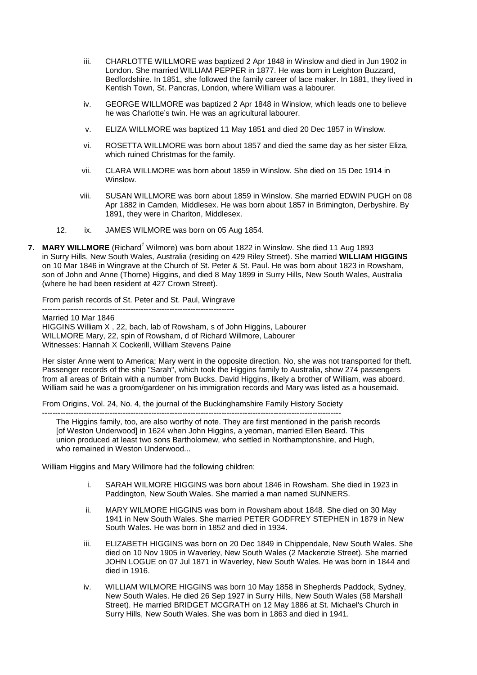- iii. CHARLOTTE WILLMORE was baptized 2 Apr 1848 in Winslow and died in Jun 1902 in London. She married WILLIAM PEPPER in 1877. He was born in Leighton Buzzard, Bedfordshire. In 1851, she followed the family career of lace maker. In 1881, they lived in Kentish Town, St. Pancras, London, where William was a labourer.
- iv. GEORGE WILLMORE was baptized 2 Apr 1848 in Winslow, which leads one to believe he was Charlotte's twin. He was an agricultural labourer.
- v. ELIZA WILLMORE was baptized 11 May 1851 and died 20 Dec 1857 in Winslow.
- vi. ROSETTA WILLMORE was born about 1857 and died the same day as her sister Eliza, which ruined Christmas for the family.
- vii. CLARA WILLMORE was born about 1859 in Winslow. She died on 15 Dec 1914 in Winslow.
- viii. SUSAN WILLMORE was born about 1859 in Winslow. She married EDWIN PUGH on 08 Apr 1882 in Camden, Middlesex. He was born about 1857 in Brimington, Derbyshire. By 1891, they were in Charlton, Middlesex.
- 12. ix. JAMES WILMORE was born on 05 Aug 1854.
- **7. MARY WILLMORE** (Richard<sup>1</sup> Wilmore) was born about 1822 in Winslow. She died 11 Aug 1893 in Surry Hills, New South Wales, Australia (residing on 429 Riley Street). She married **WILLIAM HIGGINS** on 10 Mar 1846 in Wingrave at the Church of St. Peter & St. Paul. He was born about 1823 in Rowsham, son of John and Anne (Thorne) Higgins, and died 8 May 1899 in Surry Hills, New South Wales, Australia (where he had been resident at 427 Crown Street).

From parish records of St. Peter and St. Paul, Wingrave --------------------------------------------------------------------------

Married 10 Mar 1846 HIGGINS William X , 22, bach, lab of Rowsham, s of John Higgins, Labourer WILLMORE Mary, 22, spin of Rowsham, d of Richard Willmore, Labourer Witnesses: Hannah X Cockerill, William Stevens Paine

Her sister Anne went to America; Mary went in the opposite direction. No, she was not transported for theft. Passenger records of the ship "Sarah", which took the Higgins family to Australia, show 274 passengers from all areas of Britain with a number from Bucks. David Higgins, likely a brother of William, was aboard. William said he was a groom/gardener on his immigration records and Mary was listed as a housemaid.

From Origins, Vol. 24, No. 4, the journal of the Buckinghamshire Family History Society

------------------------------------------------------------------------------------------------------------------- The Higgins family, too, are also worthy of note. They are first mentioned in the parish records [of Weston Underwood] in 1624 when John Higgins, a yeoman, married Ellen Beard. This union produced at least two sons Bartholomew, who settled in Northamptonshire, and Hugh, who remained in Weston Underwood...

William Higgins and Mary Willmore had the following children:

- i. SARAH WILMORE HIGGINS was born about 1846 in Rowsham. She died in 1923 in Paddington, New South Wales. She married a man named SUNNERS.
- ii. MARY WILMORE HIGGINS was born in Rowsham about 1848. She died on 30 May 1941 in New South Wales. She married PETER GODFREY STEPHEN in 1879 in New South Wales. He was born in 1852 and died in 1934.
- iii. ELIZABETH HIGGINS was born on 20 Dec 1849 in Chippendale, New South Wales. She died on 10 Nov 1905 in Waverley, New South Wales (2 Mackenzie Street). She married JOHN LOGUE on 07 Jul 1871 in Waverley, New South Wales. He was born in 1844 and died in 1916.
- iv. WILLIAM WILMORE HIGGINS was born 10 May 1858 in Shepherds Paddock, Sydney, New South Wales. He died 26 Sep 1927 in Surry Hills, New South Wales (58 Marshall Street). He married BRIDGET MCGRATH on 12 May 1886 at St. Michael's Church in Surry Hills, New South Wales. She was born in 1863 and died in 1941.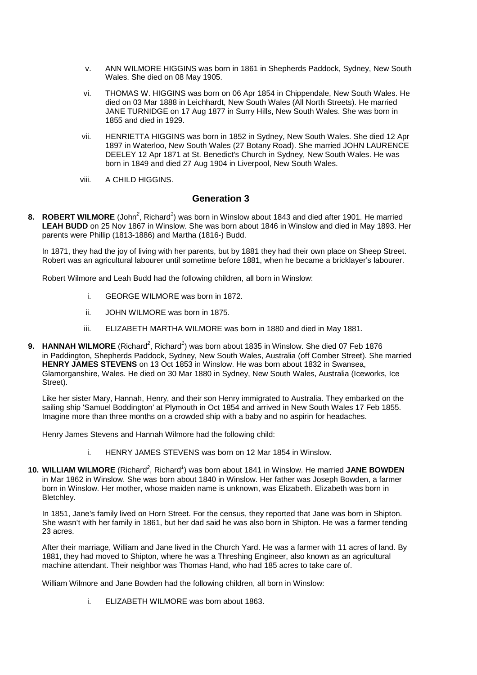- v. ANN WILMORE HIGGINS was born in 1861 in Shepherds Paddock, Sydney, New South Wales. She died on 08 May 1905.
- vi. THOMAS W. HIGGINS was born on 06 Apr 1854 in Chippendale, New South Wales. He died on 03 Mar 1888 in Leichhardt, New South Wales (All North Streets). He married JANE TURNIDGE on 17 Aug 1877 in Surry Hills, New South Wales. She was born in 1855 and died in 1929.
- vii. HENRIETTA HIGGINS was born in 1852 in Sydney, New South Wales. She died 12 Apr 1897 in Waterloo, New South Wales (27 Botany Road). She married JOHN LAURENCE DEELEY 12 Apr 1871 at St. Benedict's Church in Sydney, New South Wales. He was born in 1849 and died 27 Aug 1904 in Liverpool, New South Wales.
- viii. A CHILD HIGGINS.

## **Generation 3**

8. ROBERT WILMORE (John<sup>2</sup>, Richard<sup>1</sup>) was born in Winslow about 1843 and died after 1901. He married **LEAH BUDD** on 25 Nov 1867 in Winslow. She was born about 1846 in Winslow and died in May 1893. Her parents were Phillip (1813-1886) and Martha (1816-) Budd.

In 1871, they had the joy of living with her parents, but by 1881 they had their own place on Sheep Street. Robert was an agricultural labourer until sometime before 1881, when he became a bricklayer's labourer.

Robert Wilmore and Leah Budd had the following children, all born in Winslow:

- i. GEORGE WILMORE was born in 1872.
- ii. JOHN WILMORE was born in 1875.
- iii. ELIZABETH MARTHA WILMORE was born in 1880 and died in May 1881.
- 9. HANNAH WILMORE (Richard<sup>2</sup>, Richard<sup>1</sup>) was born about 1835 in Winslow. She died 07 Feb 1876 in Paddington, Shepherds Paddock, Sydney, New South Wales, Australia (off Comber Street). She married **HENRY JAMES STEVENS** on 13 Oct 1853 in Winslow. He was born about 1832 in Swansea, Glamorganshire, Wales. He died on 30 Mar 1880 in Sydney, New South Wales, Australia (Iceworks, Ice Street).

Like her sister Mary, Hannah, Henry, and their son Henry immigrated to Australia. They embarked on the sailing ship 'Samuel Boddington' at Plymouth in Oct 1854 and arrived in New South Wales 17 Feb 1855. Imagine more than three months on a crowded ship with a baby and no aspirin for headaches.

Henry James Stevens and Hannah Wilmore had the following child:

- i. HENRY JAMES STEVENS was born on 12 Mar 1854 in Winslow.
- 10. WILLIAM WILMORE (Richard<sup>2</sup>, Richard<sup>1</sup>) was born about 1841 in Winslow. He married JANE BOWDEN in Mar 1862 in Winslow. She was born about 1840 in Winslow. Her father was Joseph Bowden, a farmer born in Winslow. Her mother, whose maiden name is unknown, was Elizabeth. Elizabeth was born in Bletchley.

In 1851, Jane's family lived on Horn Street. For the census, they reported that Jane was born in Shipton. She wasn't with her family in 1861, but her dad said he was also born in Shipton. He was a farmer tending 23 acres.

After their marriage, William and Jane lived in the Church Yard. He was a farmer with 11 acres of land. By 1881, they had moved to Shipton, where he was a Threshing Engineer, also known as an agricultural machine attendant. Their neighbor was Thomas Hand, who had 185 acres to take care of.

William Wilmore and Jane Bowden had the following children, all born in Winslow:

i. ELIZABETH WILMORE was born about 1863.